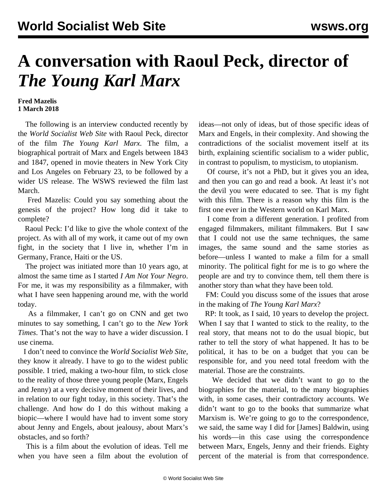## **A conversation with Raoul Peck, director of**  *The Young Karl Marx*

## **Fred Mazelis 1 March 2018**

 The following is an interview conducted recently by the *World Socialist Web Site* with Raoul Peck, director of the film *The Young Karl Marx.* The film, a biographical portrait of Marx and Engels between 1843 and 1847, opened in movie theaters in New York City and Los Angeles on February 23, to be followed by a wider US release. The WSWS [reviewed](/en/articles/2017/03/15/marx-m15.html) the film last March.

 Fred Mazelis: Could you say something about the genesis of the project? How long did it take to complete?

 Raoul Peck: I'd like to give the whole context of the project. As with all of my work, it came out of my own fight, in the society that I live in, whether I'm in Germany, France, Haiti or the US.

 The project was initiated more than 10 years ago, at almost the same time as I started *I Am Not Your Negro*. For me, it was my responsibility as a filmmaker, with what I have seen happening around me, with the world today.

 As a filmmaker, I can't go on CNN and get two minutes to say something, I can't go to the *New York Times*. That's not the way to have a wider discussion. I use cinema.

 I don't need to convince the *World Socialist Web Site*, they know it already. I have to go to the widest public possible. I tried, making a two-hour film, to stick close to the reality of those three young people (Marx, Engels and Jenny) at a very decisive moment of their lives, and in relation to our fight today, in this society. That's the challenge. And how do I do this without making a biopic—where I would have had to invent some story about Jenny and Engels, about jealousy, about Marx's obstacles, and so forth?

 This is a film about the evolution of ideas. Tell me when you have seen a film about the evolution of ideas—not only of ideas, but of those specific ideas of Marx and Engels, in their complexity. And showing the contradictions of the socialist movement itself at its birth, explaining scientific socialism to a wider public, in contrast to populism, to mysticism, to utopianism.

 Of course, it's not a PhD, but it gives you an idea, and then you can go and read a book. At least it's not the devil you were educated to see. That is my fight with this film. There is a reason why this film is the first one ever in the Western world on Karl Marx.

 I come from a different generation. I profited from engaged filmmakers, militant filmmakers. But I saw that I could not use the same techniques, the same images, the same sound and the same stories as before—unless I wanted to make a film for a small minority. The political fight for me is to go where the people are and try to convince them, tell them there is another story than what they have been told.

 FM: Could you discuss some of the issues that arose in the making of *The Young Karl Marx*?

 RP: It took, as I said, 10 years to develop the project. When I say that I wanted to stick to the reality, to the real story, that means not to do the usual biopic, but rather to tell the story of what happened. It has to be political, it has to be on a budget that you can be responsible for, and you need total freedom with the material. Those are the constraints.

 We decided that we didn't want to go to the biographies for the material, to the many biographies with, in some cases, their contradictory accounts. We didn't want to go to the books that summarize what Marxism is. We're going to go to the correspondence, we said, the same way I did for [James] Baldwin, using his words—in this case using the correspondence between Marx, Engels, Jenny and their friends. Eighty percent of the material is from that correspondence.